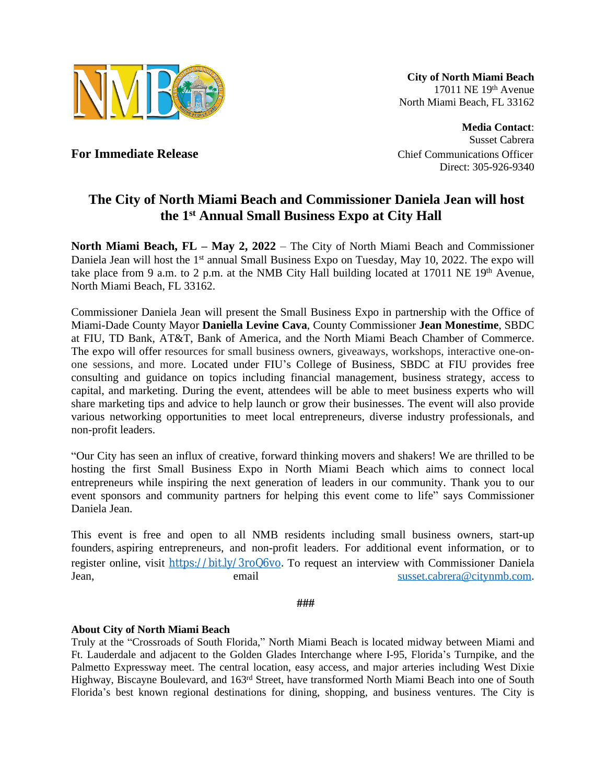

**City of North Miami Beach** 17011 NE 19th Avenue North Miami Beach, FL 33162

**Media Contact**: Susset Cabrera **For Immediate Release Chief Communications Officer Chief Communications Officer** Direct: 305-926-9340

## **The City of North Miami Beach and Commissioner Daniela Jean will host the 1st Annual Small Business Expo at City Hall**

**North Miami Beach, FL – May 2, 2022** – The City of North Miami Beach and Commissioner Daniela Jean will host the 1<sup>st</sup> annual Small Business Expo on Tuesday, May 10, 2022. The expo will take place from 9 a.m. to 2 p.m. at the NMB City Hall building located at 17011 NE 19<sup>th</sup> Avenue, North Miami Beach, FL 33162.

Commissioner Daniela Jean will present the Small Business Expo in partnership with the Office of Miami-Dade County Mayor **Daniella Levine Cava**, County Commissioner **Jean Monestime**, SBDC at FIU, TD Bank, AT&T, Bank of America, and the North Miami Beach Chamber of Commerce. The expo will offer resources for small business owners, giveaways, workshops, interactive one-onone sessions, and more. Located under FIU's College of Business, SBDC at FIU provides free consulting and guidance on topics including financial management, business strategy, access to capital, and marketing. During the event, attendees will be able to meet business experts who will share marketing tips and advice to help launch or grow their businesses. The event will also provide various networking opportunities to meet local entrepreneurs, diverse industry professionals, and non-profit leaders.

"Our City has seen an influx of creative, forward thinking movers and shakers! We are thrilled to be hosting the first Small Business Expo in North Miami Beach which aims to connect local entrepreneurs while inspiring the next generation of leaders in our community. Thank you to our event sponsors and community partners for helping this event come to life" says Commissioner Daniela Jean.

This event is free and open to all NMB residents including small business owners, start-up founders, aspiring entrepreneurs, and non-profit leaders. For additional event information, or to register online, visit <https://bit.ly/3roQ6vo></u>. To request an interview with Commissioner Daniela Jean, email email [susset.cabrera@citynmb.com](mailto:susset.cabrera@citynmb.com).

 **###**

## **About City of North Miami Beach**

Truly at the "Crossroads of South Florida," North Miami Beach is located midway between Miami and Ft. Lauderdale and adjacent to the Golden Glades Interchange where I-95, Florida's Turnpike, and the Palmetto Expressway meet. The central location, easy access, and major arteries including West Dixie Highway, Biscayne Boulevard, and 163rd Street, have transformed North Miami Beach into one of South Florida's best known regional destinations for dining, shopping, and business ventures. The City is